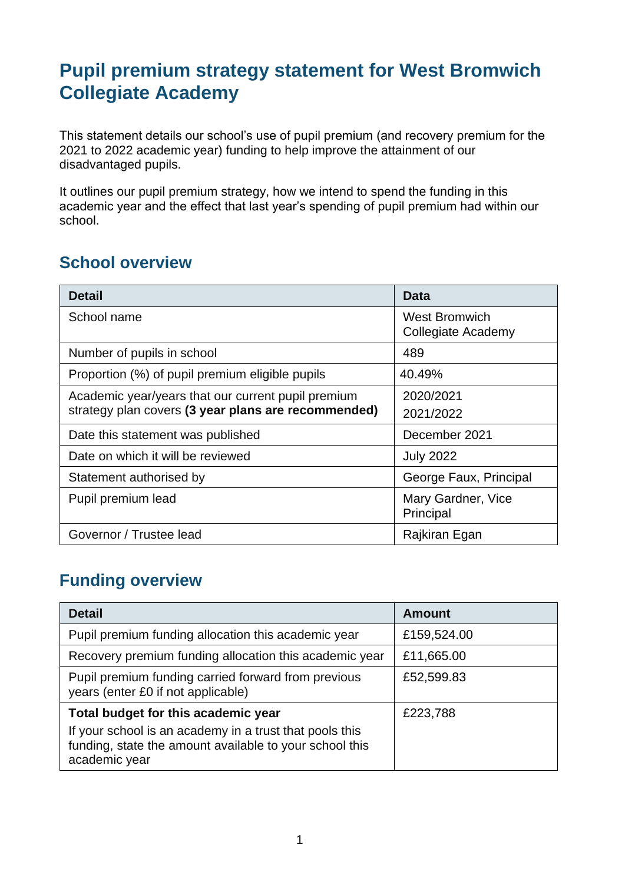# **Pupil premium strategy statement for West Bromwich Collegiate Academy**

This statement details our school's use of pupil premium (and recovery premium for the 2021 to 2022 academic year) funding to help improve the attainment of our disadvantaged pupils.

It outlines our pupil premium strategy, how we intend to spend the funding in this academic year and the effect that last year's spending of pupil premium had within our school.

### **School overview**

| <b>Detail</b>                                                                                             | <b>Data</b>                                       |
|-----------------------------------------------------------------------------------------------------------|---------------------------------------------------|
| School name                                                                                               | <b>West Bromwich</b><br><b>Collegiate Academy</b> |
| Number of pupils in school                                                                                | 489                                               |
| Proportion (%) of pupil premium eligible pupils                                                           | 40.49%                                            |
| Academic year/years that our current pupil premium<br>strategy plan covers (3 year plans are recommended) | 2020/2021<br>2021/2022                            |
| Date this statement was published                                                                         | December 2021                                     |
| Date on which it will be reviewed                                                                         | <b>July 2022</b>                                  |
| Statement authorised by                                                                                   | George Faux, Principal                            |
| Pupil premium lead                                                                                        | Mary Gardner, Vice<br>Principal                   |
| Governor / Trustee lead                                                                                   | Rajkiran Egan                                     |

### **Funding overview**

| <b>Detail</b>                                                                                                                       | <b>Amount</b> |
|-------------------------------------------------------------------------------------------------------------------------------------|---------------|
| Pupil premium funding allocation this academic year                                                                                 | £159,524.00   |
| Recovery premium funding allocation this academic year                                                                              | £11,665.00    |
| Pupil premium funding carried forward from previous<br>years (enter £0 if not applicable)                                           | £52,599.83    |
| Total budget for this academic year                                                                                                 | £223,788      |
| If your school is an academy in a trust that pools this<br>funding, state the amount available to your school this<br>academic year |               |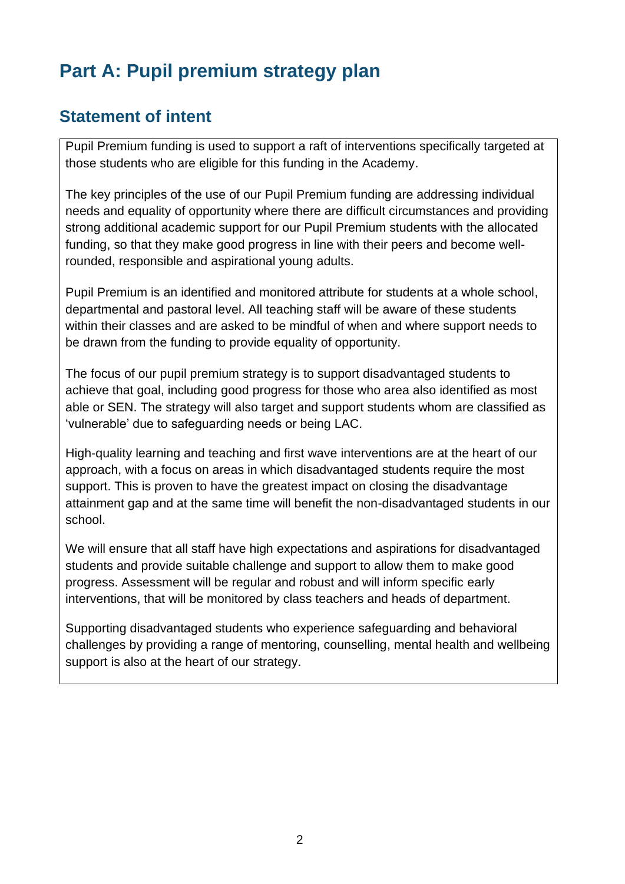# **Part A: Pupil premium strategy plan**

### **Statement of intent**

Pupil Premium funding is used to support a raft of interventions specifically targeted at those students who are eligible for this funding in the Academy.

The key principles of the use of our Pupil Premium funding are addressing individual needs and equality of opportunity where there are difficult circumstances and providing strong additional academic support for our Pupil Premium students with the allocated funding, so that they make good progress in line with their peers and become wellrounded, responsible and aspirational young adults.

Pupil Premium is an identified and monitored attribute for students at a whole school, departmental and pastoral level. All teaching staff will be aware of these students within their classes and are asked to be mindful of when and where support needs to be drawn from the funding to provide equality of opportunity.

The focus of our pupil premium strategy is to support disadvantaged students to achieve that goal, including good progress for those who area also identified as most able or SEN. The strategy will also target and support students whom are classified as 'vulnerable' due to safeguarding needs or being LAC.

High-quality learning and teaching and first wave interventions are at the heart of our approach, with a focus on areas in which disadvantaged students require the most support. This is proven to have the greatest impact on closing the disadvantage attainment gap and at the same time will benefit the non-disadvantaged students in our school.

We will ensure that all staff have high expectations and aspirations for disadvantaged students and provide suitable challenge and support to allow them to make good progress. Assessment will be regular and robust and will inform specific early interventions, that will be monitored by class teachers and heads of department.

Supporting disadvantaged students who experience safeguarding and behavioral challenges by providing a range of mentoring, counselling, mental health and wellbeing support is also at the heart of our strategy.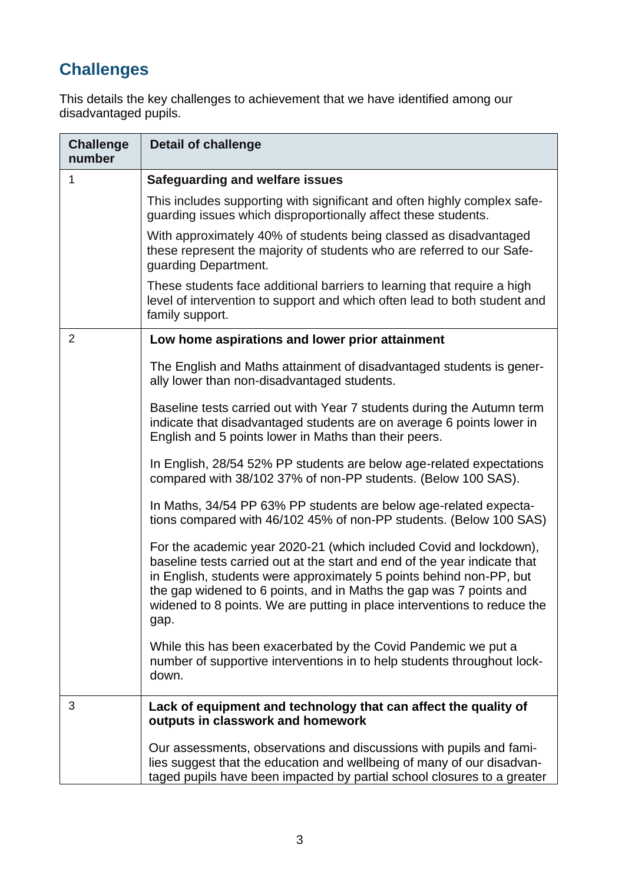# **Challenges**

This details the key challenges to achievement that we have identified among our disadvantaged pupils.

| <b>Challenge</b><br>number | <b>Detail of challenge</b>                                                                                                                                                                                                                                                                                                                                                       |
|----------------------------|----------------------------------------------------------------------------------------------------------------------------------------------------------------------------------------------------------------------------------------------------------------------------------------------------------------------------------------------------------------------------------|
| 1                          | <b>Safeguarding and welfare issues</b>                                                                                                                                                                                                                                                                                                                                           |
|                            | This includes supporting with significant and often highly complex safe-<br>guarding issues which disproportionally affect these students.                                                                                                                                                                                                                                       |
|                            | With approximately 40% of students being classed as disadvantaged<br>these represent the majority of students who are referred to our Safe-<br>guarding Department.                                                                                                                                                                                                              |
|                            | These students face additional barriers to learning that require a high<br>level of intervention to support and which often lead to both student and<br>family support.                                                                                                                                                                                                          |
| $\overline{2}$             | Low home aspirations and lower prior attainment                                                                                                                                                                                                                                                                                                                                  |
|                            | The English and Maths attainment of disadvantaged students is gener-<br>ally lower than non-disadvantaged students.                                                                                                                                                                                                                                                              |
|                            | Baseline tests carried out with Year 7 students during the Autumn term<br>indicate that disadvantaged students are on average 6 points lower in<br>English and 5 points lower in Maths than their peers.                                                                                                                                                                         |
|                            | In English, 28/54 52% PP students are below age-related expectations<br>compared with 38/102 37% of non-PP students. (Below 100 SAS).                                                                                                                                                                                                                                            |
|                            | In Maths, 34/54 PP 63% PP students are below age-related expecta-<br>tions compared with 46/102 45% of non-PP students. (Below 100 SAS)                                                                                                                                                                                                                                          |
|                            | For the academic year 2020-21 (which included Covid and lockdown),<br>baseline tests carried out at the start and end of the year indicate that<br>in English, students were approximately 5 points behind non-PP, but<br>the gap widened to 6 points, and in Maths the gap was 7 points and<br>widened to 8 points. We are putting in place interventions to reduce the<br>gap. |
|                            | While this has been exacerbated by the Covid Pandemic we put a<br>number of supportive interventions in to help students throughout lock-<br>down.                                                                                                                                                                                                                               |
| 3                          | Lack of equipment and technology that can affect the quality of<br>outputs in classwork and homework                                                                                                                                                                                                                                                                             |
|                            | Our assessments, observations and discussions with pupils and fami-<br>lies suggest that the education and wellbeing of many of our disadvan-<br>taged pupils have been impacted by partial school closures to a greater                                                                                                                                                         |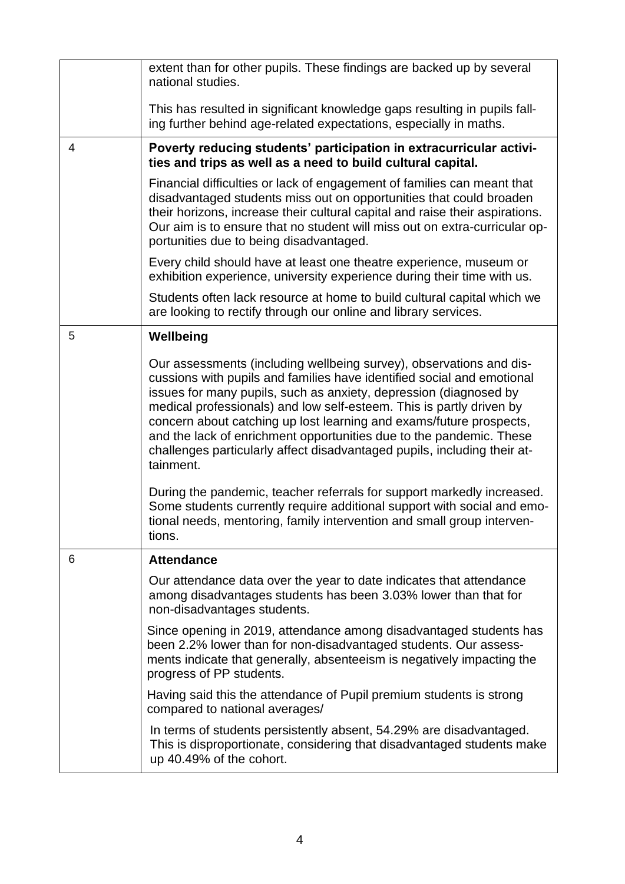|                | extent than for other pupils. These findings are backed up by several<br>national studies.                                                                                                                                                                                                                                                                                                                                                                                                                                        |
|----------------|-----------------------------------------------------------------------------------------------------------------------------------------------------------------------------------------------------------------------------------------------------------------------------------------------------------------------------------------------------------------------------------------------------------------------------------------------------------------------------------------------------------------------------------|
|                | This has resulted in significant knowledge gaps resulting in pupils fall-<br>ing further behind age-related expectations, especially in maths.                                                                                                                                                                                                                                                                                                                                                                                    |
| $\overline{4}$ | Poverty reducing students' participation in extracurricular activi-<br>ties and trips as well as a need to build cultural capital.                                                                                                                                                                                                                                                                                                                                                                                                |
|                | Financial difficulties or lack of engagement of families can meant that<br>disadvantaged students miss out on opportunities that could broaden<br>their horizons, increase their cultural capital and raise their aspirations.<br>Our aim is to ensure that no student will miss out on extra-curricular op-<br>portunities due to being disadvantaged.                                                                                                                                                                           |
|                | Every child should have at least one theatre experience, museum or<br>exhibition experience, university experience during their time with us.                                                                                                                                                                                                                                                                                                                                                                                     |
|                | Students often lack resource at home to build cultural capital which we<br>are looking to rectify through our online and library services.                                                                                                                                                                                                                                                                                                                                                                                        |
| 5              | Wellbeing                                                                                                                                                                                                                                                                                                                                                                                                                                                                                                                         |
|                | Our assessments (including wellbeing survey), observations and dis-<br>cussions with pupils and families have identified social and emotional<br>issues for many pupils, such as anxiety, depression (diagnosed by<br>medical professionals) and low self-esteem. This is partly driven by<br>concern about catching up lost learning and exams/future prospects,<br>and the lack of enrichment opportunities due to the pandemic. These<br>challenges particularly affect disadvantaged pupils, including their at-<br>tainment. |
|                | During the pandemic, teacher referrals for support markedly increased.<br>Some students currently require additional support with social and emo-<br>tional needs, mentoring, family intervention and small group interven-<br>tions.                                                                                                                                                                                                                                                                                             |
| 6              | <b>Attendance</b>                                                                                                                                                                                                                                                                                                                                                                                                                                                                                                                 |
|                | Our attendance data over the year to date indicates that attendance<br>among disadvantages students has been 3.03% lower than that for<br>non-disadvantages students.                                                                                                                                                                                                                                                                                                                                                             |
|                | Since opening in 2019, attendance among disadvantaged students has<br>been 2.2% lower than for non-disadvantaged students. Our assess-<br>ments indicate that generally, absenteeism is negatively impacting the<br>progress of PP students.                                                                                                                                                                                                                                                                                      |
|                | Having said this the attendance of Pupil premium students is strong<br>compared to national averages/                                                                                                                                                                                                                                                                                                                                                                                                                             |
|                | In terms of students persistently absent, 54.29% are disadvantaged.<br>This is disproportionate, considering that disadvantaged students make<br>up 40.49% of the cohort.                                                                                                                                                                                                                                                                                                                                                         |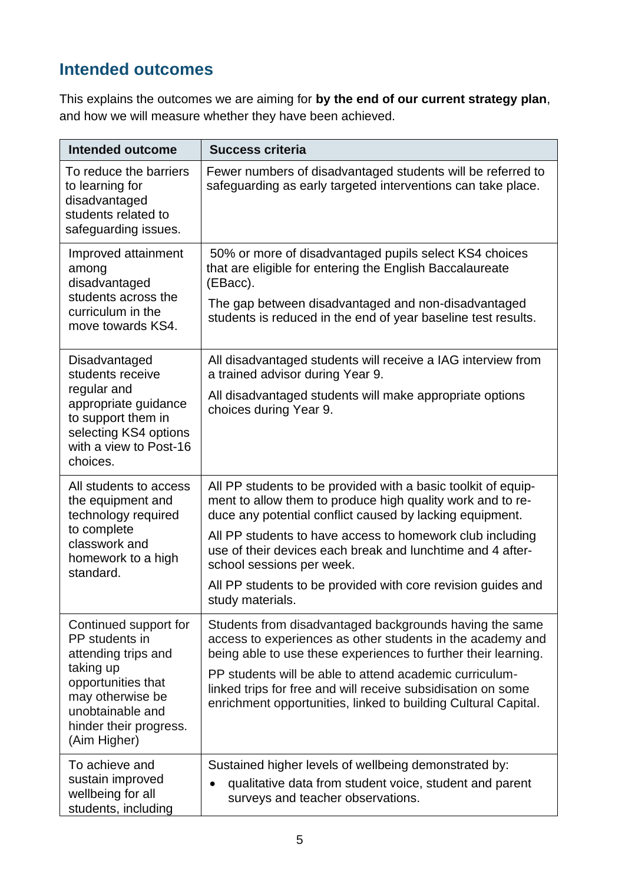## **Intended outcomes**

This explains the outcomes we are aiming for **by the end of our current strategy plan**, and how we will measure whether they have been achieved.

| Intended outcome                                                                                                                                                                    | <b>Success criteria</b>                                                                                                                                                                                                                                |
|-------------------------------------------------------------------------------------------------------------------------------------------------------------------------------------|--------------------------------------------------------------------------------------------------------------------------------------------------------------------------------------------------------------------------------------------------------|
| To reduce the barriers<br>to learning for<br>disadvantaged<br>students related to<br>safeguarding issues.                                                                           | Fewer numbers of disadvantaged students will be referred to<br>safeguarding as early targeted interventions can take place.                                                                                                                            |
| Improved attainment<br>among<br>disadvantaged<br>students across the<br>curriculum in the<br>move towards KS4.                                                                      | 50% or more of disadvantaged pupils select KS4 choices<br>that are eligible for entering the English Baccalaureate<br>(EBacc).<br>The gap between disadvantaged and non-disadvantaged<br>students is reduced in the end of year baseline test results. |
| Disadvantaged<br>students receive<br>regular and<br>appropriate guidance<br>to support them in                                                                                      | All disadvantaged students will receive a IAG interview from<br>a trained advisor during Year 9.<br>All disadvantaged students will make appropriate options<br>choices during Year 9.                                                                 |
| selecting KS4 options<br>with a view to Post-16<br>choices.                                                                                                                         |                                                                                                                                                                                                                                                        |
| All students to access<br>the equipment and<br>technology required<br>to complete<br>classwork and<br>homework to a high<br>standard.                                               | All PP students to be provided with a basic toolkit of equip-<br>ment to allow them to produce high quality work and to re-<br>duce any potential conflict caused by lacking equipment.                                                                |
|                                                                                                                                                                                     | All PP students to have access to homework club including<br>use of their devices each break and lunchtime and 4 after-<br>school sessions per week.                                                                                                   |
|                                                                                                                                                                                     | All PP students to be provided with core revision guides and<br>study materials.                                                                                                                                                                       |
| Continued support for<br>PP students in<br>attending trips and<br>taking up<br>opportunities that<br>may otherwise be<br>unobtainable and<br>hinder their progress.<br>(Aim Higher) | Students from disadvantaged backgrounds having the same<br>access to experiences as other students in the academy and<br>being able to use these experiences to further their learning.                                                                |
|                                                                                                                                                                                     | PP students will be able to attend academic curriculum-<br>linked trips for free and will receive subsidisation on some<br>enrichment opportunities, linked to building Cultural Capital.                                                              |
| To achieve and<br>sustain improved<br>wellbeing for all<br>students, including                                                                                                      | Sustained higher levels of wellbeing demonstrated by:<br>qualitative data from student voice, student and parent<br>surveys and teacher observations.                                                                                                  |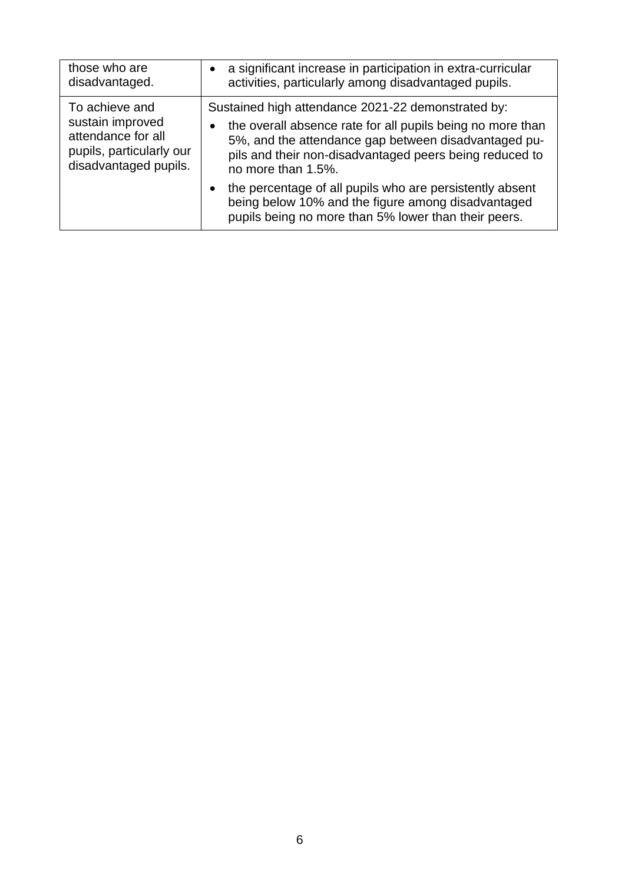| those who are            | a significant increase in participation in extra-curricular                                                                                                            |
|--------------------------|------------------------------------------------------------------------------------------------------------------------------------------------------------------------|
| disadvantaged.           | activities, particularly among disadvantaged pupils.                                                                                                                   |
| To achieve and           | Sustained high attendance 2021-22 demonstrated by:                                                                                                                     |
| sustain improved         | the overall absence rate for all pupils being no more than                                                                                                             |
| attendance for all       | 5%, and the attendance gap between disadvantaged pu-                                                                                                                   |
| pupils, particularly our | pils and their non-disadvantaged peers being reduced to                                                                                                                |
| disadvantaged pupils.    | no more than 1.5%.                                                                                                                                                     |
|                          | the percentage of all pupils who are persistently absent<br>being below 10% and the figure among disadvantaged<br>pupils being no more than 5% lower than their peers. |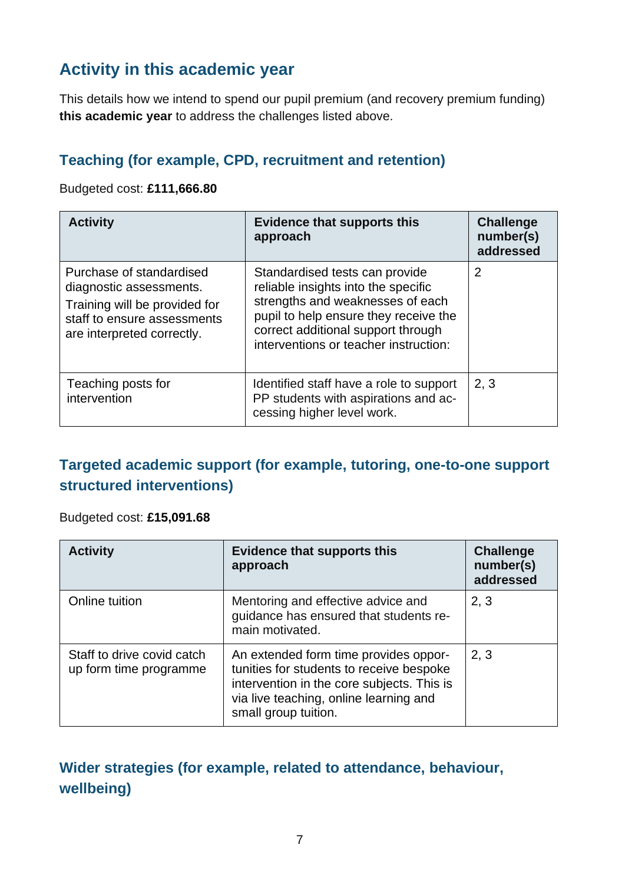### **Activity in this academic year**

This details how we intend to spend our pupil premium (and recovery premium funding) **this academic year** to address the challenges listed above.

#### **Teaching (for example, CPD, recruitment and retention)**

#### Budgeted cost: **£111,666.80**

| <b>Activity</b>                                                                                                                                   | <b>Evidence that supports this</b><br>approach                                                                                                                                                                                    | <b>Challenge</b><br>number(s)<br>addressed |
|---------------------------------------------------------------------------------------------------------------------------------------------------|-----------------------------------------------------------------------------------------------------------------------------------------------------------------------------------------------------------------------------------|--------------------------------------------|
| Purchase of standardised<br>diagnostic assessments.<br>Training will be provided for<br>staff to ensure assessments<br>are interpreted correctly. | Standardised tests can provide<br>reliable insights into the specific<br>strengths and weaknesses of each<br>pupil to help ensure they receive the<br>correct additional support through<br>interventions or teacher instruction: | $\overline{2}$                             |
| Teaching posts for<br>intervention                                                                                                                | Identified staff have a role to support<br>PP students with aspirations and ac-<br>cessing higher level work.                                                                                                                     | 2, 3                                       |

#### **Targeted academic support (for example, tutoring, one-to-one support structured interventions)**

#### Budgeted cost: **£15,091.68**

| <b>Activity</b>                                      | <b>Evidence that supports this</b><br>approach                                                                                                                                                    | <b>Challenge</b><br>number(s)<br>addressed |
|------------------------------------------------------|---------------------------------------------------------------------------------------------------------------------------------------------------------------------------------------------------|--------------------------------------------|
| Online tuition                                       | Mentoring and effective advice and<br>guidance has ensured that students re-<br>main motivated.                                                                                                   | 2, 3                                       |
| Staff to drive covid catch<br>up form time programme | An extended form time provides oppor-<br>tunities for students to receive bespoke<br>intervention in the core subjects. This is<br>via live teaching, online learning and<br>small group tuition. | 2, 3                                       |

#### **Wider strategies (for example, related to attendance, behaviour, wellbeing)**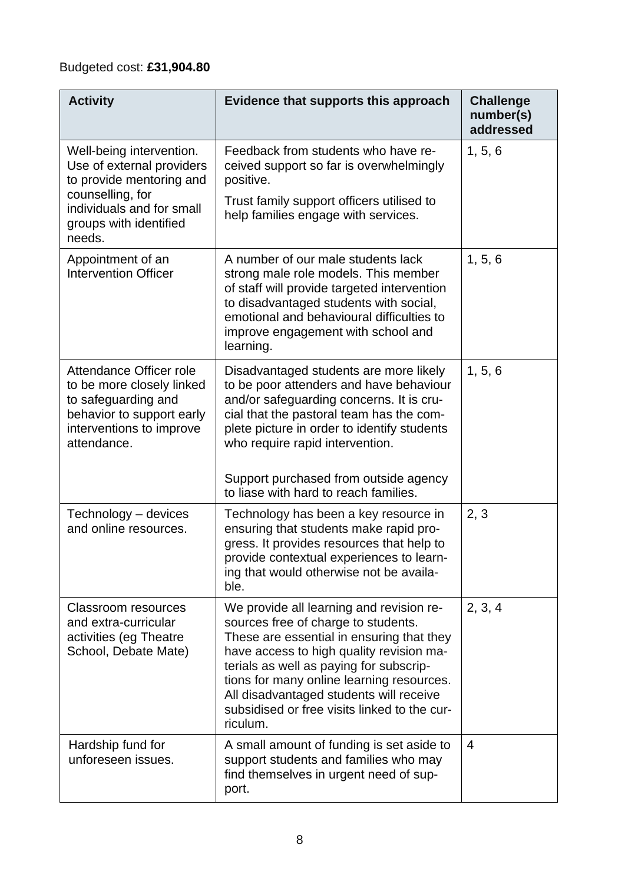### Budgeted cost: **£31,904.80**

| <b>Activity</b>                                                                                                                                              | Evidence that supports this approach                                                                                                                                                                                                                                                                                                                                    | <b>Challenge</b><br>number(s)<br>addressed |
|--------------------------------------------------------------------------------------------------------------------------------------------------------------|-------------------------------------------------------------------------------------------------------------------------------------------------------------------------------------------------------------------------------------------------------------------------------------------------------------------------------------------------------------------------|--------------------------------------------|
| Well-being intervention.<br>Use of external providers<br>to provide mentoring and<br>counselling, for<br>individuals and for small<br>groups with identified | Feedback from students who have re-<br>ceived support so far is overwhelmingly<br>positive.<br>Trust family support officers utilised to<br>help families engage with services.                                                                                                                                                                                         | 1, 5, 6                                    |
| needs.<br>Appointment of an<br><b>Intervention Officer</b>                                                                                                   | A number of our male students lack<br>strong male role models. This member<br>of staff will provide targeted intervention<br>to disadvantaged students with social,<br>emotional and behavioural difficulties to<br>improve engagement with school and<br>learning.                                                                                                     | 1, 5, 6                                    |
| Attendance Officer role<br>to be more closely linked<br>to safeguarding and<br>behavior to support early<br>interventions to improve<br>attendance.          | Disadvantaged students are more likely<br>to be poor attenders and have behaviour<br>and/or safeguarding concerns. It is cru-<br>cial that the pastoral team has the com-<br>plete picture in order to identify students<br>who require rapid intervention.<br>Support purchased from outside agency<br>to liase with hard to reach families.                           | 1, 5, 6                                    |
| Technology - devices<br>and online resources.                                                                                                                | Technology has been a key resource in<br>ensuring that students make rapid pro-<br>gress. It provides resources that help to<br>provide contextual experiences to learn-<br>ing that would otherwise not be availa-<br>ble.                                                                                                                                             | 2, 3                                       |
| <b>Classroom resources</b><br>and extra-curricular<br>activities (eg Theatre<br>School, Debate Mate)                                                         | We provide all learning and revision re-<br>sources free of charge to students.<br>These are essential in ensuring that they<br>have access to high quality revision ma-<br>terials as well as paying for subscrip-<br>tions for many online learning resources.<br>All disadvantaged students will receive<br>subsidised or free visits linked to the cur-<br>riculum. | 2, 3, 4                                    |
| Hardship fund for<br>unforeseen issues.                                                                                                                      | A small amount of funding is set aside to<br>support students and families who may<br>find themselves in urgent need of sup-<br>port.                                                                                                                                                                                                                                   | 4                                          |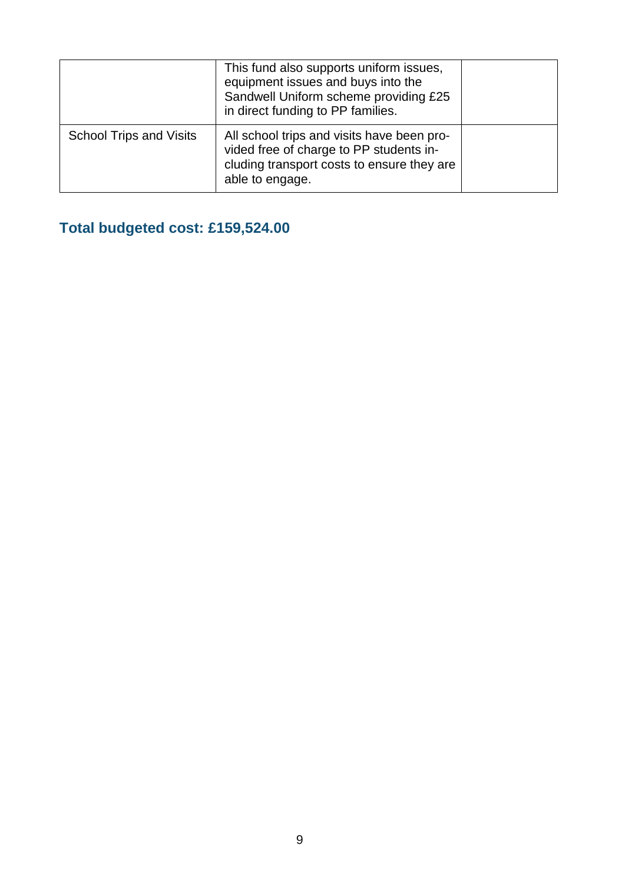|                                | This fund also supports uniform issues,<br>equipment issues and buys into the<br>Sandwell Uniform scheme providing £25<br>in direct funding to PP families. |  |
|--------------------------------|-------------------------------------------------------------------------------------------------------------------------------------------------------------|--|
| <b>School Trips and Visits</b> | All school trips and visits have been pro-<br>vided free of charge to PP students in-<br>cluding transport costs to ensure they are<br>able to engage.      |  |

## **Total budgeted cost: £159,524.00**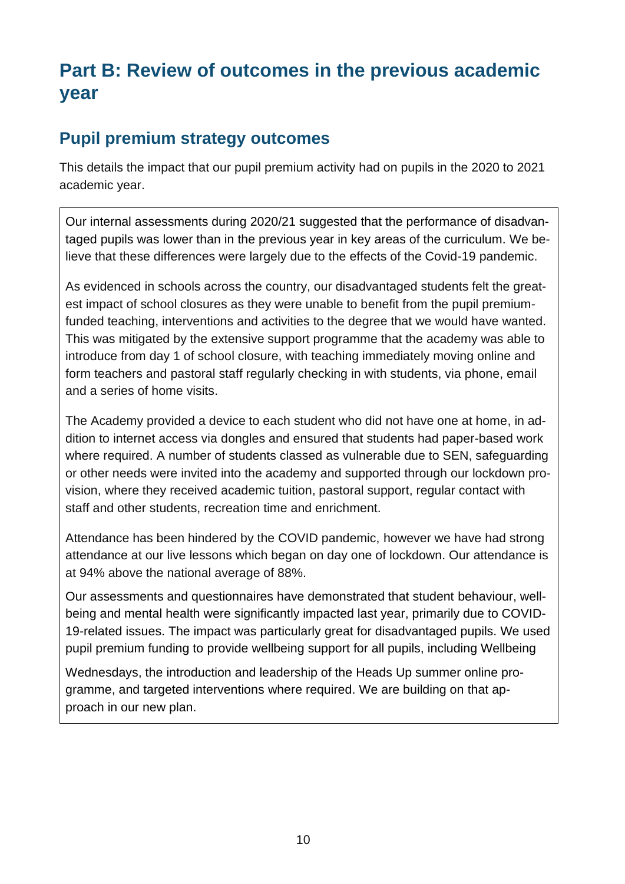# **Part B: Review of outcomes in the previous academic year**

#### **Pupil premium strategy outcomes**

This details the impact that our pupil premium activity had on pupils in the 2020 to 2021 academic year.

Our internal assessments during 2020/21 suggested that the performance of disadvantaged pupils was lower than in the previous year in key areas of the curriculum. We believe that these differences were largely due to the effects of the Covid-19 pandemic.

As evidenced in schools across the country, our disadvantaged students felt the greatest impact of school closures as they were unable to benefit from the pupil premiumfunded teaching, interventions and activities to the degree that we would have wanted. This was mitigated by the extensive support programme that the academy was able to introduce from day 1 of school closure, with teaching immediately moving online and form teachers and pastoral staff regularly checking in with students, via phone, email and a series of home visits.

The Academy provided a device to each student who did not have one at home, in addition to internet access via dongles and ensured that students had paper-based work where required. A number of students classed as vulnerable due to SEN, safeguarding or other needs were invited into the academy and supported through our lockdown provision, where they received academic tuition, pastoral support, regular contact with staff and other students, recreation time and enrichment.

Attendance has been hindered by the COVID pandemic, however we have had strong attendance at our live lessons which began on day one of lockdown. Our attendance is at 94% above the national average of 88%.

Our assessments and questionnaires have demonstrated that student behaviour, wellbeing and mental health were significantly impacted last year, primarily due to COVID-19-related issues. The impact was particularly great for disadvantaged pupils. We used pupil premium funding to provide wellbeing support for all pupils, including Wellbeing

Wednesdays, the introduction and leadership of the Heads Up summer online programme, and targeted interventions where required. We are building on that approach in our new plan.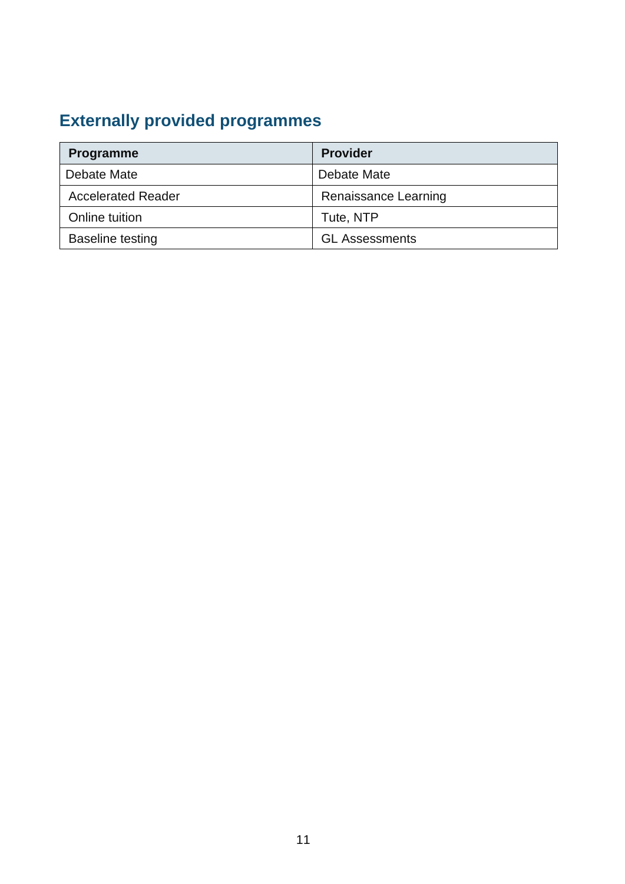# **Externally provided programmes**

| Programme                 | <b>Provider</b>       |
|---------------------------|-----------------------|
| Debate Mate               | Debate Mate           |
| <b>Accelerated Reader</b> | Renaissance Learning  |
| Online tuition            | Tute, NTP             |
| <b>Baseline testing</b>   | <b>GL Assessments</b> |